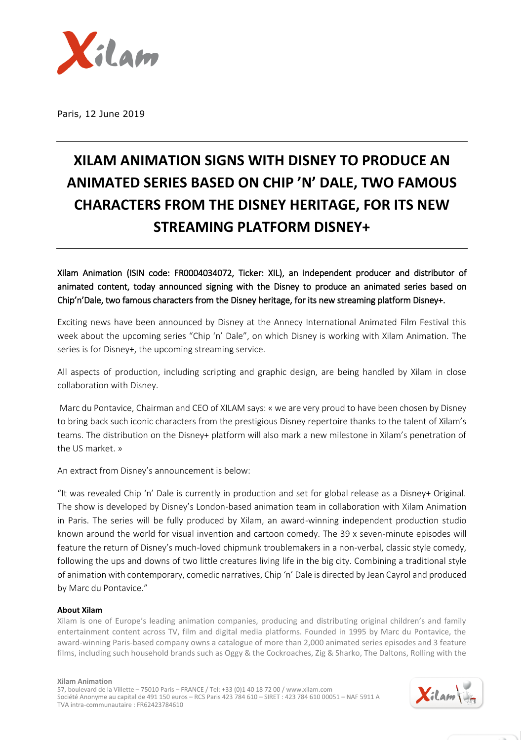

Paris, 12 June 2019

## **XILAM ANIMATION SIGNS WITH DISNEY TO PRODUCE AN ANIMATED SERIES BASED ON CHIP 'N' DALE, TWO FAMOUS CHARACTERS FROM THE DISNEY HERITAGE, FOR ITS NEW STREAMING PLATFORM DISNEY+**

Xilam Animation (ISIN code: FR0004034072, Ticker: XIL), an independent producer and distributor of animated content, today announced signing with the Disney to produce an animated series based on Chip'n'Dale, two famous characters from the Disney heritage, for its new streaming platform Disney+.

Exciting news have been announced by Disney at the Annecy International Animated Film Festival this week about the upcoming series "Chip 'n' Dale", on which Disney is working with Xilam Animation. The series is for Disney+, the upcoming streaming service.

All aspects of production, including scripting and graphic design, are being handled by Xilam in close collaboration with Disney.

Marc du Pontavice, Chairman and CEO of XILAM says: « we are very proud to have been chosen by Disney to bring back such iconic characters from the prestigious Disney repertoire thanks to the talent of Xilam's teams. The distribution on the Disney+ platform will also mark a new milestone in Xilam's penetration of the US market. »

An extract from Disney's announcement is below:

"It was revealed Chip 'n' Dale is currently in production and set for global release as a Disney+ Original. The show is developed by Disney's London-based animation team in collaboration with Xilam Animation in Paris. The series will be fully produced by Xilam, an award-winning independent production studio known around the world for visual invention and cartoon comedy. The 39 x seven-minute episodes will feature the return of Disney's much-loved chipmunk troublemakers in a non-verbal, classic style comedy, following the ups and downs of two little creatures living life in the big city. Combining a traditional style of animation with contemporary, comedic narratives, Chip 'n' Dale is directed by Jean Cayrol and produced by Marc du Pontavice."

## **About Xilam**

Xilam is one of Europe's leading animation companies, producing and distributing original children's and family entertainment content across TV, film and digital media platforms. Founded in 1995 by Marc du Pontavice, the award-winning Paris-based company owns a catalogue of more than 2,000 animated series episodes and 3 feature films, including such household brands such as Oggy & the Cockroaches, Zig & Sharko, The Daltons, Rolling with the

**Xilam Animation**

57, boulevard de la Villette – 75010 Paris – FRANCE / Tel: +33 (0)1 40 18 72 00 / www.xilam.com Société Anonyme au capital de 491 150 euros – RCS Paris 423 784 610 – SIRET : 423 784 610 00051 – NAF 5911 A TVA intra-communautaire : FR62423784610